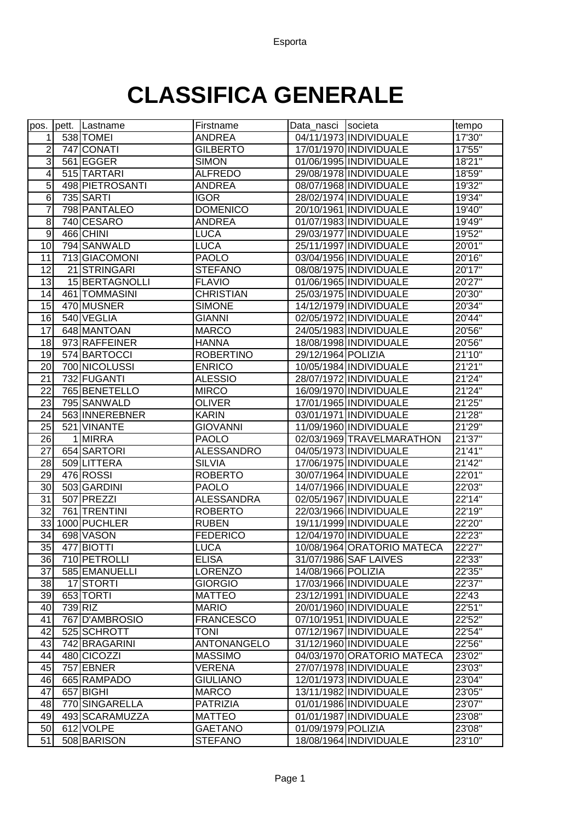## **CLASSIFICA GENERALE**

| pos.            | pett. Lastname  | Firstname          | Data_nasci Societa |                            | tempo   |
|-----------------|-----------------|--------------------|--------------------|----------------------------|---------|
| 1               | 538 TOMEI       | <b>ANDREA</b>      |                    | 04/11/1973 INDIVIDUALE     | 17'30"  |
| 2               | 747 CONATI      | <b>GILBERTO</b>    |                    | 17/01/1970 INDIVIDUALE     | 17'55"  |
| 3               | 561 EGGER       | <b>SIMON</b>       |                    | 01/06/1995 INDIVIDUALE     | 18'21"  |
| 4               | 515 TARTARI     | <b>ALFREDO</b>     |                    | 29/08/1978 INDIVIDUALE     | 18'59"  |
| 5               | 498 PIETROSANTI | <b>ANDREA</b>      |                    | 08/07/1968 INDIVIDUALE     | 19'32"  |
| 6               | 735 SARTI       | <b>IGOR</b>        |                    | 28/02/1974 INDIVIDUALE     | 19'34"  |
| 7               | 798 PANTALEO    | <b>DOMENICO</b>    |                    | 20/10/1961   INDIVIDUALE   | 19'40"  |
| 8               | 740 CESARO      | <b>ANDREA</b>      |                    | 01/07/1983 INDIVIDUALE     | 19'49"  |
| 9               | 466 CHINI       | <b>LUCA</b>        |                    | 29/03/1977 INDIVIDUALE     | 19'52"  |
| 10              | 794 SANWALD     | <b>LUCA</b>        |                    | 25/11/1997 INDIVIDUALE     | 20'01"  |
| 11              | 713 GIACOMONI   | <b>PAOLO</b>       |                    | 03/04/1956 INDIVIDUALE     | 20'16"  |
| 12              | 21 STRINGARI    | <b>STEFANO</b>     |                    | 08/08/1975 INDIVIDUALE     | 20'17"  |
| 13              | 15 BERTAGNOLLI  | <b>FLAVIO</b>      |                    | 01/06/1965 INDIVIDUALE     | 20'27"  |
| 14              | 461 TOMMASINI   | <b>CHRISTIAN</b>   |                    | 25/03/1975 INDIVIDUALE     | 20'30"  |
| 15              | 470 MUSNER      | <b>SIMONE</b>      |                    | 14/12/1979 INDIVIDUALE     | 20'34'' |
| 16              | 540 VEGLIA      | <b>GIANNI</b>      |                    | 02/05/1972 INDIVIDUALE     | 20'44"  |
| 17              | 648 MANTOAN     | <b>MARCO</b>       |                    | 24/05/1983 INDIVIDUALE     | 20'56"  |
| 18              | 973 RAFFEINER   | <b>HANNA</b>       |                    | 18/08/1998 INDIVIDUALE     | 20'56"  |
| 19              | 574 BARTOCCI    | <b>ROBERTINO</b>   | 29/12/1964 POLIZIA |                            | 21'10"  |
| 20              | 700 NICOLUSSI   | <b>ENRICO</b>      |                    | 10/05/1984 INDIVIDUALE     | 21'21"  |
| 21              | 732 FUGANTI     | <b>ALESSIO</b>     |                    | 28/07/1972 INDIVIDUALE     | 21'24"  |
| 22              | 765 BENETELLO   | <b>MIRCO</b>       |                    | 16/09/1970 INDIVIDUALE     | 21'24"  |
| 23              | 795 SANWALD     | <b>OLIVER</b>      |                    | 17/01/1965 INDIVIDUALE     | 21'25"  |
| 24              | 563 INNEREBNER  | <b>KARIN</b>       |                    | 03/01/1971 INDIVIDUALE     | 21'28"  |
| 25              | 521 VINANTE     | <b>GIOVANNI</b>    |                    | 11/09/1960 INDIVIDUALE     | 21'29"  |
| 26              | 1 MIRRA         | <b>PAOLO</b>       |                    | 02/03/1969 TRAVELMARATHON  | 21'37"  |
| 27              | 654 SARTORI     | <b>ALESSANDRO</b>  |                    | 04/05/1973 INDIVIDUALE     | 21'41"  |
| 28              | 509LITTERA      | <b>SILVIA</b>      |                    | 17/06/1975 INDIVIDUALE     | 21'42"  |
| 29              | 476 ROSSI       | <b>ROBERTO</b>     |                    | 30/07/1964 INDIVIDUALE     | 22'01"  |
| 30              | 503 GARDINI     | <b>PAOLO</b>       |                    | 14/07/1966 INDIVIDUALE     | 22'03"  |
| $\overline{31}$ | 507 PREZZI      | <b>ALESSANDRA</b>  |                    | 02/05/1967 INDIVIDUALE     | 22'14"  |
| 32              | 761 TRENTINI    | <b>ROBERTO</b>     |                    | 22/03/1966 INDIVIDUALE     | 22'19"  |
| 33              | 1000 PUCHLER    | <b>RUBEN</b>       |                    | 19/11/1999 INDIVIDUALE     | 22'20"  |
| $\overline{34}$ | 698 VASON       | <b>FEDERICO</b>    |                    | 12/04/1970 INDIVIDUALE     | 22'23"  |
| 35              | 477 BIOTTI      | <b>LUCA</b>        |                    | 10/08/1964 ORATORIO MATECA | 22'27"  |
| 36              | 710 PETROLLI    | <b>ELISA</b>       |                    | 31/07/1986 SAF LAIVES      | 22'33"  |
| 37              | 585 EMANUELLI   | <b>LORENZO</b>     | 14/08/1966 POLIZIA |                            | 22'35"  |
| 38              | 17 STORTI       | <b>GIORGIO</b>     |                    | 17/03/1966 INDIVIDUALE     | 22'37"  |
| 39              | 653 TORTI       | <b>MATTEO</b>      |                    | 23/12/1991 INDIVIDUALE     | 22'43   |
| 40              | 739 RIZ         | <b>MARIO</b>       |                    | 20/01/1960 INDIVIDUALE     | 22'51"  |
| 41              | 767 D'AMBROSIO  | <b>FRANCESCO</b>   |                    | 07/10/1951 INDIVIDUALE     | 22'52"  |
| 42              | 525 SCHROTT     | <b>TONI</b>        |                    | 07/12/1967 INDIVIDUALE     | 22'54"  |
| 43              | 742 BRAGARINI   | <b>ANTONANGELO</b> |                    | 31/12/1960 INDIVIDUALE     | 22'56"  |
| 44              | 480 CICOZZI     | <b>MASSIMO</b>     |                    | 04/03/1970 ORATORIO MATECA | 23'02"  |
| 45              | 757 EBNER       | <b>VERENA</b>      |                    | 27/07/1978 INDIVIDUALE     | 23'03"  |
| 46              | 665 RAMPADO     | <b>GIULIANO</b>    |                    | 12/01/1973 INDIVIDUALE     | 23'04"  |
| 47              | 657 BIGHI       | <b>MARCO</b>       |                    | 13/11/1982 INDIVIDUALE     | 23'05"  |
| 48              | 770 SINGARELLA  | <b>PATRIZIA</b>    |                    | 01/01/1986 INDIVIDUALE     | 23'07"  |
| 49              | 493 SCARAMUZZA  | <b>MATTEO</b>      |                    | 01/01/1987 INDIVIDUALE     | 23'08"  |
| 50              | 612 VOLPE       | <b>GAETANO</b>     | 01/09/1979 POLIZIA |                            | 23'08"  |
| 51              | 508 BARISON     | <b>STEFANO</b>     |                    | 18/08/1964 INDIVIDUALE     | 23'10"  |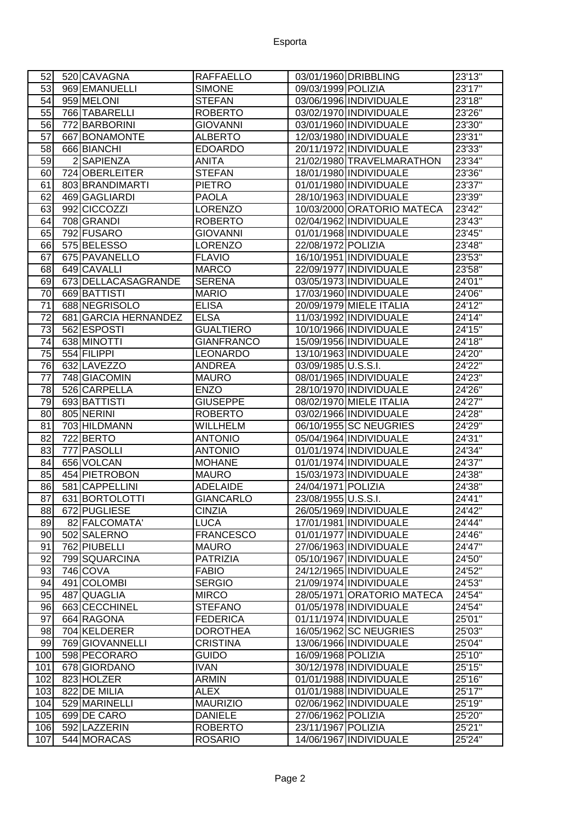| 52              | 520 CAVAGNA          | <b>RAFFAELLO</b>  |                     | 03/01/1960 DRIBBLING       | 23'13"  |
|-----------------|----------------------|-------------------|---------------------|----------------------------|---------|
| 53              | 969 EMANUELLI        | <b>SIMONE</b>     | 09/03/1999 POLIZIA  |                            | 23'17"  |
| 54              | 959 MELONI           | <b>STEFAN</b>     |                     | 03/06/1996 INDIVIDUALE     | 23'18"  |
| 55              | 766 TABARELLI        | <b>ROBERTO</b>    |                     | 03/02/1970 INDIVIDUALE     | 23'26"  |
| 56              | 772 BARBORINI        | <b>GIOVANNI</b>   |                     | 03/01/1960 INDIVIDUALE     | 23'30"  |
| 57              | 667 BONAMONTE        | <b>ALBERTO</b>    |                     | 12/03/1980 INDIVIDUALE     | 23'31"  |
| $\overline{58}$ | 666 BIANCHI          | <b>EDOARDO</b>    |                     | 20/11/1972 INDIVIDUALE     | 23'33'' |
| 59              | 2 SAPIENZA           | <b>ANITA</b>      |                     | 21/02/1980 TRAVELMARATHON  | 23'34'' |
| 60              | 724 OBERLEITER       | <b>STEFAN</b>     |                     | 18/01/1980 INDIVIDUALE     | 23'36"  |
| 61              | 803 BRANDIMARTI      | <b>PIETRO</b>     |                     | 01/01/1980 INDIVIDUALE     | 23'37"  |
| 62              | 469 GAGLIARDI        | <b>PAOLA</b>      |                     | 28/10/1963 INDIVIDUALE     | 23'39"  |
| 63              | 992 CICCOZZI         | <b>LORENZO</b>    |                     | 10/03/2000 ORATORIO MATECA | 23'42"  |
| 64              | 708 GRANDI           | <b>ROBERTO</b>    |                     | 02/04/1962 INDIVIDUALE     | 23'43"  |
| 65              | 792 FUSARO           | <b>GIOVANNI</b>   |                     | 01/01/1968 INDIVIDUALE     | 23'45"  |
| 66              | 575 BELESSO          | <b>LORENZO</b>    | 22/08/1972 POLIZIA  |                            | 23'48"  |
| 67              | 675 PAVANELLO        | <b>FLAVIO</b>     |                     | 16/10/1951 INDIVIDUALE     | 23'53"  |
| 68              | 649 CAVALLI          | <b>MARCO</b>      |                     | 22/09/1977 INDIVIDUALE     | 23'58"  |
| 69              | 673 DELLACASAGRANDE  | <b>SERENA</b>     |                     | 03/05/1973 INDIVIDUALE     | 24'01"  |
| 70              | 669 BATTISTI         | <b>MARIO</b>      |                     | 17/03/1960 INDIVIDUALE     | 24'06"  |
| 71              | 688 NEGRISOLO        | <b>ELISA</b>      |                     | 20/09/1979 MIELE ITALIA    | 24'12"  |
| 72              | 681 GARCIA HERNANDEZ | <b>ELSA</b>       |                     | 11/03/1992 INDIVIDUALE     | 24'14"  |
| 73              | 562 ESPOSTI          | <b>GUALTIERO</b>  |                     | 10/10/1966 INDIVIDUALE     | 24'15"  |
| 74              | 638 MINOTTI          | <b>GIANFRANCO</b> |                     | 15/09/1956 INDIVIDUALE     | 24'18'' |
| 75              | 554 FILIPPI          | <b>LEONARDO</b>   |                     | 13/10/1963 INDIVIDUALE     | 24'20"  |
| 76              | 632 LAVEZZO          | <b>ANDREA</b>     | 03/09/1985 U.S.S.I. |                            | 24'22"  |
| 77              | 748 GIACOMIN         | <b>MAURO</b>      |                     | 08/01/1965 INDIVIDUALE     | 24'23"  |
| 78              | 526 CARPELLA         | <b>ENZO</b>       |                     | 28/10/1970 INDIVIDUALE     | 24'26"  |
| 79              | 693 BATTISTI         | <b>GIUSEPPE</b>   |                     | 08/02/1970 MIELE ITALIA    | 24'27'' |
| 80              | 805 NERINI           | <b>ROBERTO</b>    |                     | 03/02/1966 INDIVIDUALE     | 24'28"  |
| 81              | 703 HILDMANN         | WILLHELM          |                     | 06/10/1955 SC NEUGRIES     | 24'29"  |
| 82              | 722 BERTO            | <b>ANTONIO</b>    |                     | 05/04/1964 INDIVIDUALE     | 24'31"  |
| 83              | 777 PASOLLI          | <b>ANTONIO</b>    |                     | 01/01/1974 INDIVIDUALE     | 24'34"  |
| 84              | 656 VOLCAN           | <b>MOHANE</b>     |                     | 01/01/1974 INDIVIDUALE     | 24'37"  |
| 85              | 454 PIETROBON        | <b>MAURO</b>      |                     | 15/03/1973 INDIVIDUALE     | 24'38"  |
| 86              | 581 CAPPELLINI       | <b>ADELAIDE</b>   | 24/04/1971 POLIZIA  |                            | 24'38"  |
| 87              | 631 BORTOLOTTI       | <b>GIANCARLO</b>  | 23/08/1955 U.S.S.I. |                            | 24'41'' |
| $\overline{88}$ | 672 PUGLIESE         | <b>CINZIA</b>     |                     | 26/05/1969 INDIVIDUALE     | 24'42"  |
| 89              | 82 FALCOMATA'        | <b>LUCA</b>       |                     | 17/01/1981 INDIVIDUALE     | 24'44"  |
| 90              | 502 SALERNO          | <b>FRANCESCO</b>  |                     | 01/01/1977 INDIVIDUALE     | 24'46"  |
| 91              | 762 PIUBELLI         | <b>MAURO</b>      |                     | 27/06/1963 INDIVIDUALE     | 24'47"  |
| 92              | 799 SQUARCINA        | <b>PATRIZIA</b>   |                     | 05/10/1967 INDIVIDUALE     | 24'50"  |
| 93              | 746 COVA             | <b>FABIO</b>      |                     | 24/12/1965 INDIVIDUALE     | 24'52"  |
| 94              | 491 COLOMBI          | <b>SERGIO</b>     |                     | 21/09/1974 INDIVIDUALE     | 24'53"  |
| 95              | 487 QUAGLIA          | <b>MIRCO</b>      |                     | 28/05/1971 ORATORIO MATECA | 24'54'' |
| 96              | 663 CECCHINEL        | <b>STEFANO</b>    |                     | 01/05/1978 INDIVIDUALE     | 24'54"  |
| 97              | 664 RAGONA           | <b>FEDERICA</b>   |                     | 01/11/1974 INDIVIDUALE     | 25'01"  |
| 98              | 704 KELDERER         | <b>DOROTHEA</b>   |                     | 16/05/1962 SC NEUGRIES     | 25'03"  |
| 99              | 769 GIOVANNELLI      | <b>CRISTINA</b>   |                     | 13/06/1966 INDIVIDUALE     | 25'04"  |
| 100             | 598 PECORARO         | <b>GUIDO</b>      | 16/09/1968 POLIZIA  |                            | 25'10"  |
| 101             | 678 GIORDANO         | <b>IVAN</b>       |                     | 30/12/1978 INDIVIDUALE     | 25'15"  |
| 102             | 823 HOLZER           | <b>ARMIN</b>      |                     | 01/01/1988 INDIVIDUALE     | 25'16"  |
| 103             | 822 DE MILIA         | <b>ALEX</b>       |                     | 01/01/1988 INDIVIDUALE     | 25'17"  |
| 104             | 529 MARINELLI        | <b>MAURIZIO</b>   |                     | 02/06/1962 INDIVIDUALE     | 25'19"  |
| 105             | 699 DE CARO          | <b>DANIELE</b>    | 27/06/1962 POLIZIA  |                            | 25'20"  |
| 106             | 592 LAZZERIN         | <b>ROBERTO</b>    | 23/11/1967 POLIZIA  |                            | 25'21"  |
| 107             | 544 MORACAS          | <b>ROSARIO</b>    |                     | 14/06/1967 INDIVIDUALE     | 25'24"  |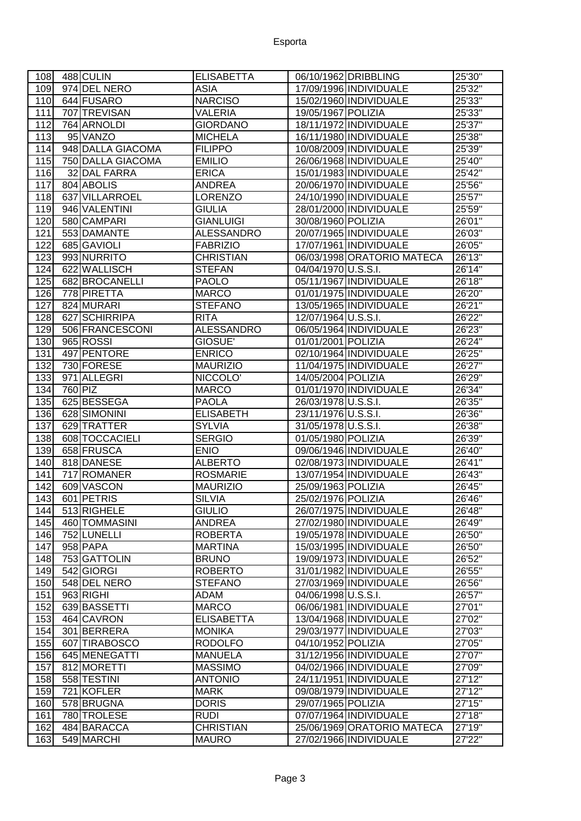## Esporta

| 108 | 488 CULIN         | <b>ELISABETTA</b> | 06/10/1962 DRIBBLING       | 25'30"  |
|-----|-------------------|-------------------|----------------------------|---------|
| 109 | 974 DEL NERO      | <b>ASIA</b>       | 17/09/1996 INDIVIDUALE     | 25'32"  |
| 110 | 644 FUSARO        | <b>NARCISO</b>    | 15/02/1960 INDIVIDUALE     | 25'33"  |
| 111 | 707 TREVISAN      | <b>VALERIA</b>    | 19/05/1967 POLIZIA         | 25'33"  |
| 112 | 764 ARNOLDI       | <b>GIORDANO</b>   | 18/11/1972 INDIVIDUALE     | 25'37"  |
| 113 | 95 VANZO          | <b>MICHELA</b>    | 16/11/1980 INDIVIDUALE     | 25'38"  |
| 114 | 948 DALLA GIACOMA | <b>FILIPPO</b>    | 10/08/2009 INDIVIDUALE     | 25'39"  |
| 115 | 750 DALLA GIACOMA | <b>EMILIO</b>     | 26/06/1968 INDIVIDUALE     | 25'40"  |
| 116 | 32 DAL FARRA      | <b>ERICA</b>      | 15/01/1983 INDIVIDUALE     | 25'42"  |
| 117 | 804 ABOLIS        | <b>ANDREA</b>     | 20/06/1970 INDIVIDUALE     | 25'56"  |
| 118 | 637 VILLARROEL    | <b>LORENZO</b>    | 24/10/1990 INDIVIDUALE     | 25'57"  |
| 119 | 946 VALENTINI     | <b>GIULIA</b>     | 28/01/2000 INDIVIDUALE     | 25'59"  |
| 120 | 580 CAMPARI       | <b>GIANLUIGI</b>  | 30/08/1960 POLIZIA         | 26'01"  |
| 121 | 553 DAMANTE       | <b>ALESSANDRO</b> | 20/07/1965 INDIVIDUALE     | 26'03"  |
| 122 | 685 GAVIOLI       | <b>FABRIZIO</b>   | 17/07/1961 INDIVIDUALE     | 26'05"  |
| 123 | 993 NURRITO       | <b>CHRISTIAN</b>  | 06/03/1998 ORATORIO MATECA | 26'13"  |
| 124 | 622 WALLISCH      | <b>STEFAN</b>     | 04/04/1970 U.S.S.I.        | 26'14'' |
| 125 | 682 BROCANELLI    | <b>PAOLO</b>      | 05/11/1967 INDIVIDUALE     | 26'18'' |
| 126 | 778 PIRETTA       | <b>MARCO</b>      | 01/01/1975 INDIVIDUALE     | 26'20"  |
| 127 | 824 MURARI        | <b>STEFANO</b>    | 13/05/1965 INDIVIDUALE     | 26'21"  |
| 128 | 627 SCHIRRIPA     | <b>RITA</b>       | 12/07/1964 U.S.S.I.        | 26'22"  |
| 129 | 506 FRANCESCONI   | <b>ALESSANDRO</b> | 06/05/1964 INDIVIDUALE     | 26'23"  |
| 130 | 965 ROSSI         | GIOSUE'           | 01/01/2001 POLIZIA         | 26'24"  |
| 131 | 497 PENTORE       | <b>ENRICO</b>     | 02/10/1964 INDIVIDUALE     | 26'25"  |
| 132 | 730 FORESE        | <b>MAURIZIO</b>   | 11/04/1975 INDIVIDUALE     | 26'27"  |
| 133 | 971 ALLEGRI       | NICCOLO'          | 14/05/2004 POLIZIA         | 26'29"  |
| 134 | 760 PIZ           | <b>MARCO</b>      | 01/01/1970 INDIVIDUALE     | 26'34"  |
| 135 | 625 BESSEGA       | <b>PAOLA</b>      | 26/03/1978 U.S.S.I.        | 26'35"  |
| 136 | 628 SIMONINI      | <b>ELISABETH</b>  | 23/11/1976 U.S.S.I.        | 26'36"  |
| 137 | 629 TRATTER       | <b>SYLVIA</b>     | 31/05/1978 U.S.S.I.        | 26'38"  |
| 138 | 608 TOCCACIELI    | <b>SERGIO</b>     | 01/05/1980 POLIZIA         | 26'39"  |
| 139 | 658 FRUSCA        | <b>ENIO</b>       | 09/06/1946 INDIVIDUALE     | 26'40"  |
| 140 | 818 DANESE        | <b>ALBERTO</b>    | 02/08/1973 INDIVIDUALE     | 26'41"  |
| 141 | 717 ROMANER       | <b>ROSMARIE</b>   | 13/07/1954 INDIVIDUALE     | 26'43"  |
| 142 | 609 VASCON        | <b>MAURIZIO</b>   | 25/09/1963 POLIZIA         | 26'45"  |
| 143 | 601 PETRIS        | <b>SILVIA</b>     | 25/02/1976 POLIZIA         | 26'46"  |
| 144 | 513 RIGHELE       | <b>GIULIO</b>     | 26/07/1975 INDIVIDUALE     | 26'48"  |
| 145 | 460 TOMMASINI     | <b>ANDREA</b>     | 27/02/1980 INDIVIDUALE     | 26'49"  |
| 146 | 752 LUNELLI       | <b>ROBERTA</b>    | 19/05/1978 INDIVIDUALE     | 26'50"  |
| 147 | 958 PAPA          | <b>MARTINA</b>    | 15/03/1995 INDIVIDUALE     | 26'50"  |
| 148 | 753 GATTOLIN      | <b>BRUNO</b>      | 19/09/1973 INDIVIDUALE     | 26'52"  |
| 149 | 542 GIORGI        | <b>ROBERTO</b>    | 31/01/1982 INDIVIDUALE     | 26'55"  |
| 150 | 548 DEL NERO      | <b>STEFANO</b>    | 27/03/1969 INDIVIDUALE     | 26'56"  |
| 151 | 963 RIGHI         | ADAM              | 04/06/1998 U.S.S.I.        | 26'57"  |
| 152 | 639 BASSETTI      | <b>MARCO</b>      | 06/06/1981 INDIVIDUALE     | 27'01"  |
| 153 | 464 CAVRON        | <b>ELISABETTA</b> | 13/04/1968 INDIVIDUALE     | 27'02"  |
| 154 | 301 BERRERA       | <b>MONIKA</b>     | 29/03/1977 INDIVIDUALE     | 27'03"  |
| 155 | 607 TIRABOSCO     | <b>RODOLFO</b>    | 04/10/1952 POLIZIA         | 27'05"  |
| 156 | 645 MENEGATTI     | <b>MANUELA</b>    | 31/12/1956 INDIVIDUALE     | 27'07"  |
| 157 | 812 MORETTI       | <b>MASSIMO</b>    | 04/02/1966 INDIVIDUALE     | 27'09"  |
| 158 | 558 TESTINI       | <b>ANTONIO</b>    | 24/11/1951 INDIVIDUALE     | 27'12'' |
| 159 | 721 KOFLER        | <b>MARK</b>       | 09/08/1979 INDIVIDUALE     | 27'12"  |
| 160 | 578 BRUGNA        | <b>DORIS</b>      | 29/07/1965 POLIZIA         | 27'15"  |
| 161 | 780 TROLESE       | <b>RUDI</b>       | 07/07/1964 INDIVIDUALE     | 27'18"  |
| 162 | 484 BARACCA       | <b>CHRISTIAN</b>  | 25/06/1969 ORATORIO MATECA | 27'19"  |
| 163 | 549 MARCHI        | <b>MAURO</b>      | 27/02/1966 INDIVIDUALE     | 27'22"  |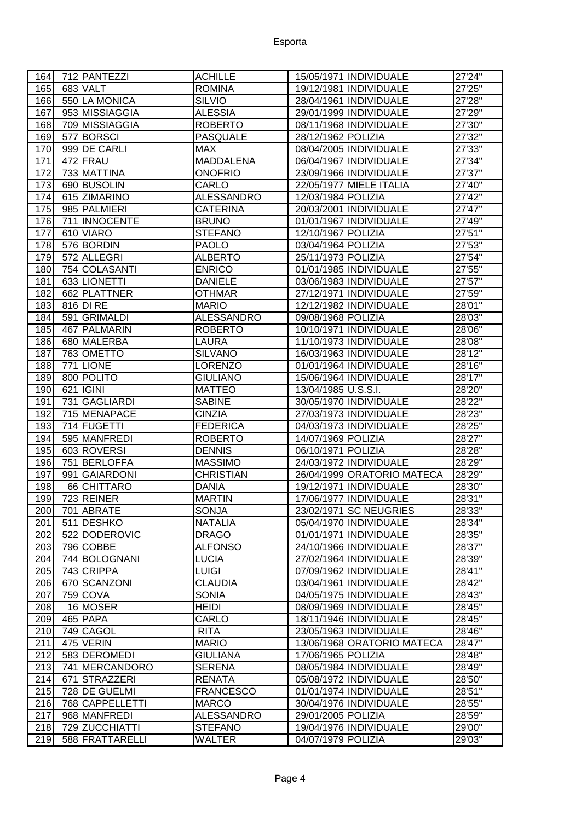| 164 | 712 PANTEZZI             | <b>ACHILLE</b>    |                     | 15/05/1971 INDIVIDUALE     | 27'24"  |
|-----|--------------------------|-------------------|---------------------|----------------------------|---------|
| 165 | 683 VALT                 | <b>ROMINA</b>     |                     | 19/12/1981 INDIVIDUALE     | 27'25"  |
| 166 | 550 LA MONICA            | <b>SILVIO</b>     |                     | 28/04/1961 INDIVIDUALE     | 27'28"  |
| 167 | 953 MISSIAGGIA           | <b>ALESSIA</b>    |                     | 29/01/1999 INDIVIDUALE     | 27'29"  |
| 168 | 709 MISSIAGGIA           | <b>ROBERTO</b>    |                     | 08/11/1968 INDIVIDUALE     | 27'30"  |
| 169 | 577 BORSCI               | <b>PASQUALE</b>   | 28/12/1962 POLIZIA  |                            | 27'32"  |
| 170 | 999 DE CARLI             | <b>MAX</b>        |                     | 08/04/2005 INDIVIDUALE     | 27'33"  |
| 171 | 472 FRAU                 | <b>MADDALENA</b>  |                     | 06/04/1967 INDIVIDUALE     | 27'34"  |
| 172 | 733 MATTINA              | <b>ONOFRIO</b>    |                     | 23/09/1966 INDIVIDUALE     | 27'37"  |
| 173 | 690 BUSOLIN              | CARLO             |                     | 22/05/1977 MIELE ITALIA    | 27'40"  |
| 174 | 615 ZIMARINO             | <b>ALESSANDRO</b> | 12/03/1984 POLIZIA  |                            | 27'42"  |
| 175 | 985 PALMIERI             | <b>CATERINA</b>   |                     | 20/03/2001   INDIVIDUALE   | 27'47"  |
| 176 | 711 INNOCENTE            | <b>BRUNO</b>      |                     | 01/01/1967 INDIVIDUALE     | 27'49"  |
| 177 | 610 VIARO                | <b>STEFANO</b>    | 12/10/1967 POLIZIA  |                            | 27'51"  |
| 178 | 576 BORDIN               | <b>PAOLO</b>      | 03/04/1964 POLIZIA  |                            | 27'53"  |
| 179 | 572 ALLEGRI              | <b>ALBERTO</b>    | 25/11/1973 POLIZIA  |                            | 27'54"  |
| 180 | 754 COLASANTI            | <b>ENRICO</b>     |                     | 01/01/1985 INDIVIDUALE     | 27'55"  |
| 181 | 633 LIONETTI             | <b>DANIELE</b>    |                     | 03/06/1983 INDIVIDUALE     | 27'57"  |
| 182 | 662 PLATTNER             | <b>OTHMAR</b>     |                     | 27/12/1971 INDIVIDUALE     | 27'59"  |
| 183 | 816 DI RE                | <b>MARIO</b>      |                     | 12/12/1982 INDIVIDUALE     | 28'01"  |
| 184 | 591 GRIMALDI             | <b>ALESSANDRO</b> | 09/08/1968 POLIZIA  |                            | 28'03"  |
| 185 | 467 PALMARIN             | <b>ROBERTO</b>    |                     | 10/10/1971 INDIVIDUALE     | 28'06"  |
|     | 680 MALERBA              | LAURA             |                     |                            |         |
| 186 |                          |                   |                     | 11/10/1973 INDIVIDUALE     | 28'08"  |
| 187 | 763 OMETTO               | <b>SILVANO</b>    |                     | 16/03/1963 INDIVIDUALE     | 28'12"  |
| 188 | 771 LIONE                | <b>LORENZO</b>    |                     | 01/01/1964 INDIVIDUALE     | 28'16"  |
| 189 | 800 POLITO               | <b>GIULIANO</b>   |                     | 15/06/1964 INDIVIDUALE     | 28'17"  |
| 190 | 621 <b>IGINI</b>         | <b>MATTEO</b>     | 13/04/1985 U.S.S.I. |                            | 28'20"  |
| 191 | 731 GAGLIARDI            | <b>SABINE</b>     |                     | 30/05/1970 INDIVIDUALE     | 28'22"  |
| 192 | 715 MENAPACE             | <b>CINZIA</b>     |                     | 27/03/1973 INDIVIDUALE     | 28'23"  |
| 193 | 714 FUGETTI              | <b>FEDERICA</b>   |                     | 04/03/1973 INDIVIDUALE     | 28'25"  |
| 194 | 595 MANFREDI             | <b>ROBERTO</b>    | 14/07/1969 POLIZIA  |                            | 28'27"  |
| 195 | 603 ROVERSI              | <b>DENNIS</b>     | 06/10/1971 POLIZIA  |                            | 28'28"  |
| 196 | 751 BERLOFFA             | <b>MASSIMO</b>    |                     | 24/03/1972 INDIVIDUALE     | 28'29"  |
| 197 | 991 GAIARDONI            | <b>CHRISTIAN</b>  |                     | 26/04/1999 ORATORIO MATECA | 28'29"  |
| 198 | 66 CHITTARO              | <b>DANIA</b>      |                     | 19/12/1971 INDIVIDUALE     | 28'30"  |
| 199 | 723 REINER<br>701 ABRATE | <b>MARTIN</b>     |                     | 17/06/1977 INDIVIDUALE     | 28'31'' |
| 200 |                          | <b>SONJA</b>      |                     | 23/02/1971 SC NEUGRIES     | 28'33"  |
| 201 | 511 DESHKO               | <b>NATALIA</b>    |                     | 05/04/1970 INDIVIDUALE     | 28'34"  |
| 202 | 522 DODEROVIC            | <b>DRAGO</b>      |                     | 01/01/1971 INDIVIDUALE     | 28'35"  |
| 203 | 796 COBBE                | <b>ALFONSO</b>    |                     | 24/10/1966 INDIVIDUALE     | 28'37"  |
| 204 | 744 BOLOGNANI            | <b>LUCIA</b>      |                     | 27/02/1964 INDIVIDUALE     | 28'39"  |
| 205 | 743 CRIPPA               | <b>LUIGI</b>      |                     | 07/09/1962 INDIVIDUALE     | 28'41"  |
| 206 | 670 SCANZONI             | <b>CLAUDIA</b>    |                     | 03/04/1961 INDIVIDUALE     | 28'42"  |
| 207 | 759 COVA                 | <b>SONIA</b>      |                     | 04/05/1975 INDIVIDUALE     | 28'43"  |
| 208 | 16 MOSER                 | <b>HEIDI</b>      |                     | 08/09/1969 INDIVIDUALE     | 28'45"  |
| 209 | 465 PAPA                 | CARLO             |                     | 18/11/1946 INDIVIDUALE     | 28'45"  |
| 210 | 749 CAGOL                | <b>RITA</b>       |                     | 23/05/1963 INDIVIDUALE     | 28'46"  |
| 211 | 475 VERIN                | <b>MARIO</b>      |                     | 13/06/1968 ORATORIO MATECA | 28'47"  |
| 212 | 583 DEROMEDI             | <b>GIULIANA</b>   | 17/06/1965 POLIZIA  |                            | 28'48"  |
| 213 | 741 MERCANDORO           | <b>SERENA</b>     |                     | 08/05/1984 INDIVIDUALE     | 28'49"  |
| 214 | 671 STRAZZERI            | <b>RENATA</b>     |                     | 05/08/1972 INDIVIDUALE     | 28'50"  |
| 215 | 728 DE GUELMI            | <b>FRANCESCO</b>  |                     | 01/01/1974 INDIVIDUALE     | 28'51"  |
| 216 | 768 CAPPELLETTI          | <b>MARCO</b>      |                     | 30/04/1976 INDIVIDUALE     | 28'55"  |
| 217 | 968 MANFREDI             | <b>ALESSANDRO</b> | 29/01/2005 POLIZIA  |                            | 28'59"  |
| 218 | 729 ZUCCHIATTI           | <b>STEFANO</b>    |                     | 19/04/1976 INDIVIDUALE     | 29'00"  |
| 219 | 588 FRATTARELLI          | WALTER            | 04/07/1979 POLIZIA  |                            | 29'03"  |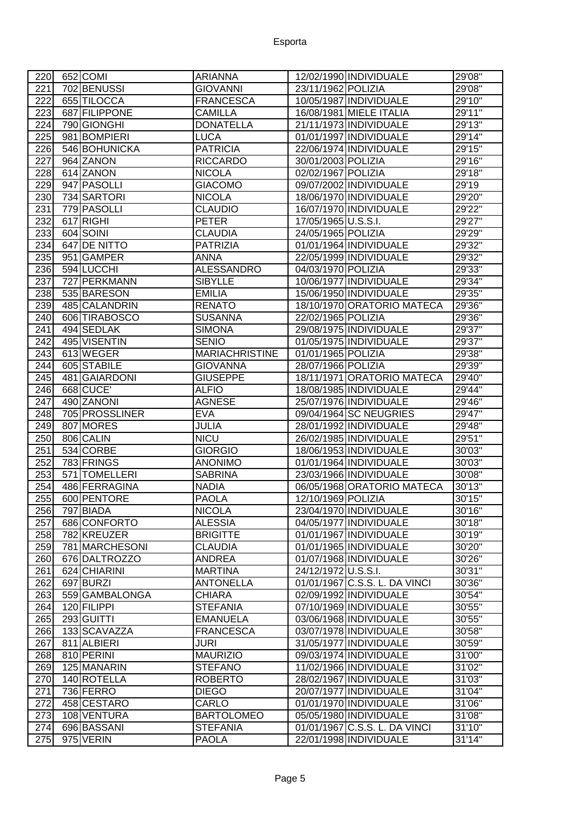| 220        | 652 COMI                 | ARIANNA                         |                     | 12/02/1990 INDIVIDUALE                                  | 29'08"           |
|------------|--------------------------|---------------------------------|---------------------|---------------------------------------------------------|------------------|
| 221        | 702 BENUSSI              | <b>GIOVANNI</b>                 | 23/11/1962 POLIZIA  |                                                         | 29'08"           |
| 222        | 655 TILOCCA              | <b>FRANCESCA</b>                |                     | 10/05/1987 INDIVIDUALE                                  | 29'10"           |
| 223        | 687 FILIPPONE            | <b>CAMILLA</b>                  |                     | 16/08/1981 MIELE ITALIA                                 | 29'11"           |
| 224        | 790 GIONGHI              | <b>DONATELLA</b>                |                     | 21/11/1973 INDIVIDUALE                                  | 29'13"           |
| 225        | 981 BOMPIERI             | <b>LUCA</b>                     |                     | 01/01/1997 INDIVIDUALE                                  | 29'14"           |
| 226        | 546 BOHUNICKA            | <b>PATRICIA</b>                 |                     | 22/06/1974 INDIVIDUALE                                  | 29'15"           |
| 227        | 964 ZANON                | <b>RICCARDO</b>                 | 30/01/2003 POLIZIA  |                                                         | 29'16"           |
| 228        | 614 ZANON                | <b>NICOLA</b>                   | 02/02/1967 POLIZIA  |                                                         | 29'18"           |
| 229        | 947 PASOLLI              | <b>GIACOMO</b>                  |                     | 09/07/2002 INDIVIDUALE                                  | 29'19            |
| 230        | 734 SARTORI              | <b>NICOLA</b>                   |                     | 18/06/1970 INDIVIDUALE                                  | 29'20"           |
| 231        | 779 PASOLLI              | <b>CLAUDIO</b>                  |                     | 16/07/1970 INDIVIDUALE                                  | 29'22"           |
| 232        | 617 RIGHI                | <b>PETER</b>                    | 17/05/1965 U.S.S.I. |                                                         | 29'27"           |
| 233        | 604 SOINI                | <b>CLAUDIA</b>                  | 24/05/1965 POLIZIA  |                                                         | 29'29"           |
| 234        | 647 DE NITTO             | <b>PATRIZIA</b>                 |                     | 01/01/1964 INDIVIDUALE                                  | 29'32"           |
| 235        | 951 GAMPER               | <b>ANNA</b>                     |                     | 22/05/1999 INDIVIDUALE                                  | 29'32"           |
| 236        | 594 LUCCHI               | <b>ALESSANDRO</b>               | 04/03/1970 POLIZIA  |                                                         | 29'33"           |
| 237        | 727 PERKMANN             | <b>SIBYLLE</b>                  |                     | 10/06/1977 INDIVIDUALE                                  | 29'34"           |
| 238        | 535 BARESON              | <b>EMILIA</b>                   |                     | 15/06/1950 INDIVIDUALE                                  | 29'35"           |
| 239        | 485 CALANDRIN            | <b>RENATO</b>                   |                     | 18/10/1970 ORATORIO MATECA                              | 29'36"           |
| 240        | 606 TIRABOSCO            | <b>SUSANNA</b>                  | 22/02/1965 POLIZIA  |                                                         | 29'36"           |
| 241        | 494 SEDLAK               | <b>SIMONA</b>                   |                     | 29/08/1975 INDIVIDUALE                                  | 29'37"           |
| 242        | 495 VISENTIN             | <b>SENIO</b>                    |                     | 01/05/1975 INDIVIDUALE                                  | 29'37"           |
| 243        | 613 WEGER                | <b>MARIACHRISTINE</b>           | 01/01/1965 POLIZIA  |                                                         | 29'38"           |
| 244        | 605 STABILE              | GIOVANNA                        | 28/07/1966 POLIZIA  |                                                         | 29'39"           |
| 245        | 481 GAIARDONI            | <b>GIUSEPPE</b>                 |                     | 18/11/1971 ORATORIO MATECA                              | 29'40"           |
| 246        | 668 CUCE                 | <b>ALFIO</b>                    |                     | 18/08/1985 INDIVIDUALE                                  | 29'44"           |
| 247        | 490 ZANONI               | <b>AGNESE</b>                   |                     | 25/07/1976 INDIVIDUALE                                  | 29'46"           |
| 248        | 705 PROSSLINER           | <b>EVA</b>                      |                     | 09/04/1964 SC NEUGRIES                                  | 29'47"           |
| 249        | 807 MORES                | <b>JULIA</b>                    |                     | 28/01/1992 INDIVIDUALE                                  | 29'48"           |
| 250        | 806 CALIN                | <b>NICU</b>                     |                     | 26/02/1985 INDIVIDUALE                                  | 29'51"           |
| 251        | 534 CORBE                | <b>GIORGIO</b>                  |                     | 18/06/1953 INDIVIDUALE                                  | 30'03"           |
| 252        | 783 FRINGS               | <b>ANONIMO</b>                  |                     | 01/01/1964 INDIVIDUALE                                  | 30'03"           |
| 253        | 571 TOMELLERI            | <b>SABRINA</b>                  |                     | 23/03/1966 INDIVIDUALE                                  | 30'08"           |
| 254        | 486 FERRAGINA            | <b>NADIA</b>                    |                     | 06/05/1968 ORATORIO MATECA                              | 30'13"           |
| 255        | 600 PENTORE              | <b>PAOLA</b>                    | 12/10/1969 POLIZIA  |                                                         | 30'15"           |
| 256        | 797 BIADA                | <b>NICOLA</b>                   |                     | 23/04/1970 INDIVIDUALE                                  | 30'16"           |
| 257        | 686 CONFORTO             | <b>ALESSIA</b>                  |                     | 04/05/1977 INDIVIDUALE                                  | 30'18"           |
| 258        | 782 KREUZER              | <b>BRIGITTE</b>                 |                     | 01/01/1967 INDIVIDUALE                                  | 30'19"           |
| 259        | 781 MARCHESONI           | <b>CLAUDIA</b>                  |                     | 01/01/1965 INDIVIDUALE                                  | 30'20"           |
| 260        | 676 DALTROZZO            | ANDREA                          |                     | 01/07/1968 INDIVIDUALE                                  | 30'26"           |
| 261        | 624 CHIARINI             | <b>MARTINA</b>                  | 24/12/1972 U.S.S.I. |                                                         | 30'31"           |
| 262        | 697 BURZI                | <b>ANTONELLA</b>                |                     | 01/01/1967 C.S.S. L. DA VINCI                           | 30'36"           |
| 263        | 559 GAMBALONGA           | <b>CHIARA</b>                   |                     | 02/09/1992 INDIVIDUALE                                  | 30'54"           |
| 264        | 120 FILIPPI              | <b>STEFANIA</b>                 |                     | 07/10/1969 INDIVIDUALE                                  | 30'55"           |
| 265        | 293 GUITTI               | <b>EMANUELA</b>                 |                     | 03/06/1968 INDIVIDUALE                                  | 30'55"           |
| 266        | 133 SCAVAZZA             | <b>FRANCESCA</b>                |                     | 03/07/1978 INDIVIDUALE                                  | 30'58"           |
| 267        | 811 ALBIERI              | <b>JURI</b>                     |                     | 31/05/1977 INDIVIDUALE                                  | 30'59"           |
| 268        | 810 PERINI               | <b>MAURIZIO</b>                 |                     | 09/03/1974 INDIVIDUALE                                  | 31'00"           |
| 269        | 125 MANARIN              | <b>STEFANO</b>                  |                     | 11/02/1966 INDIVIDUALE                                  | 31'02"           |
| 270        | 140 ROTELLA              | <b>ROBERTO</b>                  |                     | 28/02/1967 INDIVIDUALE                                  | 31'03"           |
| 271        | 736 FERRO                | <b>DIEGO</b>                    |                     | 20/07/1977 INDIVIDUALE                                  | 31'04"           |
| 272        | 458 CESTARO              | CARLO                           |                     | 01/01/1970 INDIVIDUALE                                  | 31'06"           |
| 273        | 108 VENTURA              | <b>BARTOLOMEO</b>               |                     | 05/05/1980 INDIVIDUALE                                  | 31'08"           |
|            |                          |                                 |                     |                                                         |                  |
| 274<br>275 | 696 BASSANI<br>975 VERIN | <b>STEFANIA</b><br><b>PAOLA</b> |                     | 01/01/1967 C.S.S. L. DA VINCI<br>22/01/1998 INDIVIDUALE | 31'10"<br>31'14" |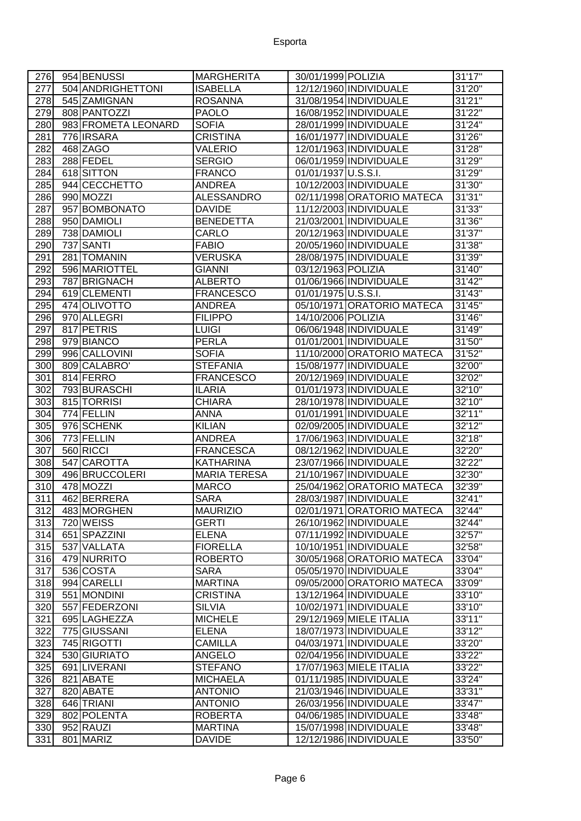## Esporta

| 276 | 954 BENUSSI         | <b>MARGHERITA</b>   | 30/01/1999 POLIZIA         | 31'17"  |
|-----|---------------------|---------------------|----------------------------|---------|
| 277 | 504 ANDRIGHETTONI   | <b>ISABELLA</b>     | 12/12/1960 INDIVIDUALE     | 31'20"  |
| 278 | 545 ZAMIGNAN        | <b>ROSANNA</b>      | 31/08/1954 INDIVIDUALE     | 31'21"  |
| 279 | 808 PANTOZZI        | <b>PAOLO</b>        | 16/08/1952 INDIVIDUALE     | 31'22"  |
| 280 | 983 FROMETA LEONARD | <b>SOFIA</b>        | 28/01/1999 INDIVIDUALE     | 31'24"  |
| 281 | 776 IRSARA          | <b>CRISTINA</b>     | 16/01/1977 INDIVIDUALE     | 31'26"  |
| 282 | 468 ZAGO            | <b>VALERIO</b>      | 12/01/1963 INDIVIDUALE     | 31'28"  |
| 283 | 288 FEDEL           | <b>SERGIO</b>       | 06/01/1959 INDIVIDUALE     | 31'29'' |
| 284 | 618 SITTON          | <b>FRANCO</b>       | 01/01/1937 U.S.S.I.        | 31'29"  |
| 285 | 944 CECCHETTO       | <b>ANDREA</b>       | 10/12/2003 INDIVIDUALE     | 31'30'' |
| 286 | 990 MOZZI           | <b>ALESSANDRO</b>   | 02/11/1998 ORATORIO MATECA | 31'31"  |
| 287 | 957 BOMBONATO       | <b>DAVIDE</b>       | 11/12/2003 INDIVIDUALE     | 31'33"  |
| 288 | 950 DAMIOLI         | <b>BENEDETTA</b>    | 21/03/2001 INDIVIDUALE     | 31'36"  |
| 289 | 738 DAMIOLI         | CARLO               | 20/12/1963 INDIVIDUALE     | 31'37'' |
| 290 | 737 SANTI           | <b>FABIO</b>        | 20/05/1960 INDIVIDUALE     | 31'38"  |
| 291 | 281 TOMANIN         | <b>VERUSKA</b>      | 28/08/1975 INDIVIDUALE     | 31'39'' |
| 292 | 596 MARIOTTEL       | <b>GIANNI</b>       | 03/12/1963 POLIZIA         | 31'40'' |
| 293 | 787 BRIGNACH        | <b>ALBERTO</b>      | 01/06/1966 INDIVIDUALE     | 31'42"  |
| 294 | 619 CLEMENTI        | <b>FRANCESCO</b>    | 01/01/1975 U.S.S.I.        | 31'43'' |
| 295 | 474 OLIVOTTO        | <b>ANDREA</b>       | 05/10/1971 ORATORIO MATECA | 31'45"  |
| 296 | 970 ALLEGRI         | <b>FILIPPO</b>      | 14/10/2006 POLIZIA         | 31'46"  |
| 297 | 817 PETRIS          | <b>LUIGI</b>        | 06/06/1948 INDIVIDUALE     | 31'49"  |
| 298 | 979 BIANCO          | <b>PERLA</b>        | 01/01/2001 INDIVIDUALE     | 31'50"  |
| 299 | 996 CALLOVINI       | <b>SOFIA</b>        | 11/10/2000 ORATORIO MATECA | 31'52"  |
| 300 | 809 CALABRO'        | <b>STEFANIA</b>     | 15/08/1977 INDIVIDUALE     | 32'00"  |
| 301 | 814 FERRO           | <b>FRANCESCO</b>    | 20/12/1969 INDIVIDUALE     | 32'02"  |
| 302 | 793 BURASCHI        | <b>ILARIA</b>       | 01/01/1973 INDIVIDUALE     | 32'10"  |
| 303 | 815 TORRISI         | <b>CHIARA</b>       | 28/10/1978 INDIVIDUALE     | 32'10"  |
| 304 | 774 FELLIN          | <b>ANNA</b>         | 01/01/1991 INDIVIDUALE     | 32'11"  |
| 305 | 976 SCHENK          | <b>KILIAN</b>       | 02/09/2005 INDIVIDUALE     | 32'12"  |
| 306 | 773 FELLIN          | <b>ANDREA</b>       | 17/06/1963 INDIVIDUALE     | 32'18"  |
| 307 | 560 RICCI           | <b>FRANCESCA</b>    | 08/12/1962 INDIVIDUALE     | 32'20"  |
| 308 | 547 CAROTTA         | <b>KATHARINA</b>    | 23/07/1966 INDIVIDUALE     | 32'22"  |
| 309 | 496 BRUCCOLERI      | <b>MARIA TERESA</b> | 21/10/1967 INDIVIDUALE     | 32'30"  |
| 310 | 478 MOZZI           | <b>MARCO</b>        | 25/04/1962 ORATORIO MATECA | 32'39"  |
| 311 | 462 BERRERA         | <b>SARA</b>         | 28/03/1987 INDIVIDUALE     | 32'41"  |
| 312 | 483 MORGHEN         | <b>MAURIZIO</b>     | 02/01/1971 ORATORIO MATECA | 32'44"  |
| 313 | 720 WEISS           | <b>GERTI</b>        | 26/10/1962 INDIVIDUALE     | 32'44'' |
| 314 | 651 SPAZZINI        | <b>ELENA</b>        | 07/11/1992 INDIVIDUALE     | 32'57"  |
| 315 | 537 VALLATA         | <b>FIORELLA</b>     | 10/10/1951 INDIVIDUALE     | 32'58"  |
| 316 | 479 NURRITO         | <b>ROBERTO</b>      | 30/05/1968 ORATORIO MATECA | 33'04"  |
| 317 | 536 COSTA           | <b>SARA</b>         | 05/05/1970 INDIVIDUALE     | 33'04"  |
| 318 | 994 CARELLI         | <b>MARTINA</b>      | 09/05/2000 ORATORIO MATECA | 33'09"  |
| 319 | 551 MONDINI         | <b>CRISTINA</b>     | 13/12/1964 INDIVIDUALE     | 33'10"  |
| 320 | 557 FEDERZONI       | <b>SILVIA</b>       | 10/02/1971 INDIVIDUALE     | 33'10"  |
| 321 | 695 LAGHEZZA        | <b>MICHELE</b>      | 29/12/1969 MIELE ITALIA    | 33'11"  |
| 322 | 775 GIUSSANI        | <b>ELENA</b>        | 18/07/1973 INDIVIDUALE     | 33'12"  |
| 323 | 745 RIGOTTI         | <b>CAMILLA</b>      | 04/03/1971 INDIVIDUALE     | 33'20'' |
| 324 | 530 GIURIATO        | <b>ANGELO</b>       | 02/04/1956 INDIVIDUALE     | 33'22"  |
| 325 | 691 LIVERANI        | <b>STEFANO</b>      | 17/07/1963 MIELE ITALIA    | 33'22"  |
| 326 | 821 ABATE           | <b>MICHAELA</b>     | 01/11/1985 INDIVIDUALE     | 33'24"  |
| 327 | 820 ABATE           | <b>ANTONIO</b>      | 21/03/1946 INDIVIDUALE     | 33'31"  |
| 328 | 646 TRIANI          | <b>ANTONIO</b>      | 26/03/1956 INDIVIDUALE     | 33'47"  |
| 329 | 802 POLENTA         | <b>ROBERTA</b>      | 04/06/1985 INDIVIDUALE     | 33'48"  |
| 330 | 952 RAUZI           | <b>MARTINA</b>      | 15/07/1998 INDIVIDUALE     | 33'48"  |
| 331 | 801 MARIZ           | <b>DAVIDE</b>       | 12/12/1986 INDIVIDUALE     | 33'50"  |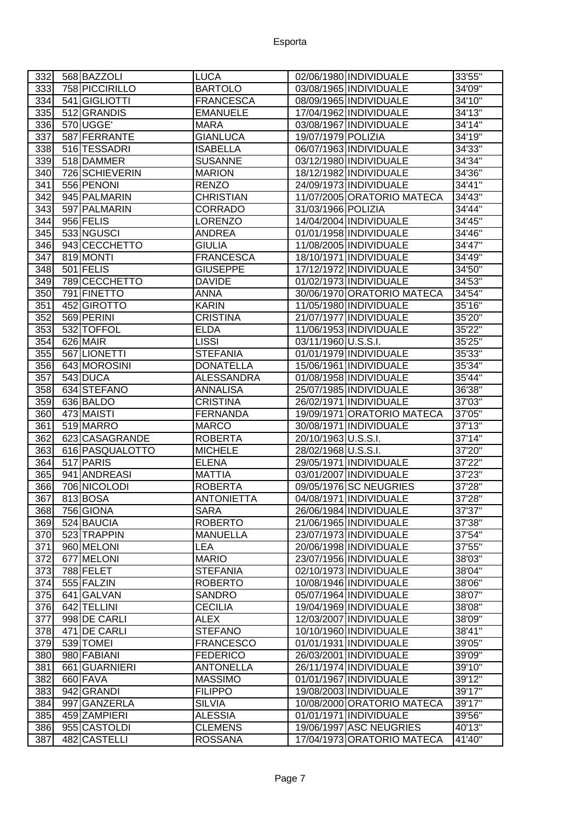| 332              | 568 BAZZOLI                  | <b>LUCA</b>                     |                     | 02/06/1980   INDIVIDUALE                         | 33'55"            |
|------------------|------------------------------|---------------------------------|---------------------|--------------------------------------------------|-------------------|
| 333              | 758 PICCIRILLO               | <b>BARTOLO</b>                  |                     | 03/08/1965 INDIVIDUALE                           | 34'09"            |
| 334              | 541 GIGLIOTTI                | <b>FRANCESCA</b>                |                     | 08/09/1965 INDIVIDUALE                           | 34'10"            |
| 335              | 512 GRANDIS                  | <b>EMANUELE</b>                 |                     | 17/04/1962 INDIVIDUALE                           | 34'13"            |
| 336              | 570 UGGE                     | <b>MARA</b>                     |                     | 03/08/1967 INDIVIDUALE                           | 34'14"            |
| 337              | 587 FERRANTE                 | <b>GIANLUCA</b>                 | 19/07/1979 POLIZIA  |                                                  | 34'19"            |
| 338              | 516 TESSADRI                 | <b>ISABELLA</b>                 |                     | 06/07/1963 INDIVIDUALE                           | 34'33"            |
| 339              | 518 DAMMER                   | <b>SUSANNE</b>                  |                     | 03/12/1980 INDIVIDUALE                           | 34'34"            |
| 340              | 726 SCHIEVERIN               | <b>MARION</b>                   |                     | 18/12/1982 INDIVIDUALE                           | 34'36"            |
| 341              | 556 PENONI                   | <b>RENZO</b>                    |                     | 24/09/1973 INDIVIDUALE                           | 34'41"            |
| 342              | 945 PALMARIN                 | <b>CHRISTIAN</b>                |                     | 11/07/2005 ORATORIO MATECA                       | 34'43"            |
| $\overline{343}$ | 597 PALMARIN                 | <b>CORRADO</b>                  | 31/03/1966 POLIZIA  |                                                  | 34'44"            |
| 344              | 956 FELIS                    | <b>LORENZO</b>                  |                     | 14/04/2004 INDIVIDUALE                           | 34'45"            |
| 345              | 533 NGUSCI                   | <b>ANDREA</b>                   |                     | 01/01/1958 INDIVIDUALE                           | 34'46"            |
| 346              | 943 CECCHETTO                | <b>GIULIA</b>                   |                     | 11/08/2005 INDIVIDUALE                           | 34'47"            |
| 347              | 819 MONTI                    | <b>FRANCESCA</b>                |                     | 18/10/1971 INDIVIDUALE                           | 34'49"            |
| 348              | $501$ FELIS                  | <b>GIUSEPPE</b>                 |                     | 17/12/1972 INDIVIDUALE                           | 34'50"            |
| 349              | 789 CECCHETTO                | <b>DAVIDE</b>                   |                     | 01/02/1973 INDIVIDUALE                           | 34'53"            |
| 350              | 791 FINETTO                  | <b>ANNA</b>                     |                     | 30/06/1970 ORATORIO MATECA                       | 34'54"            |
| 351              | 452 GIROTTO                  | <b>KARIN</b>                    |                     | 11/05/1980 INDIVIDUALE                           | 35'16"            |
| 352              | 569 PERINI                   | <b>CRISTINA</b>                 |                     | 21/07/1977 INDIVIDUALE                           | 35'20"            |
| 353              | 532 TOFFOL                   | <b>ELDA</b>                     |                     | 11/06/1953 INDIVIDUALE                           | 35'22"            |
| 354              | 626 MAIR                     | <b>LISSI</b>                    | 03/11/1960 U.S.S.I. |                                                  | 35'25''           |
| $\overline{3}55$ | 567 LIONETTI                 | <b>STEFANIA</b>                 |                     | 01/01/1979 INDIVIDUALE                           | 35'33"            |
| 356              | 643 MOROSINI                 | <b>DONATELLA</b>                |                     | 15/06/1961 INDIVIDUALE                           | 35'34"            |
| 357              | 543 DUCA                     | <b>ALESSANDRA</b>               |                     | 01/08/1958 INDIVIDUALE                           | 35'44"            |
| 358              | 634 STEFANO                  | <b>ANNALISA</b>                 |                     | 25/07/1985 INDIVIDUALE                           | 36'38"            |
| 359              | 636 BALDO                    | <b>CRISTINA</b>                 |                     | 26/02/1971 INDIVIDUALE                           | 37'03"            |
| 360              | 473 MAISTI                   | <b>FERNANDA</b>                 |                     | 19/09/1971 ORATORIO MATECA                       | 37'05"            |
| 361              | 519 MARRO                    | <b>MARCO</b>                    |                     | 30/08/1971 INDIVIDUALE                           | 37'13"            |
| 362              |                              |                                 |                     |                                                  |                   |
|                  | 623 CASAGRANDE               | <b>ROBERTA</b>                  | 20/10/1963 U.S.S.I. |                                                  | 37'14"            |
|                  |                              | <b>MICHELE</b>                  | 28/02/1968 U.S.S.I. |                                                  |                   |
| 363<br>364       | 616 PASQUALOTTO<br>517 PARIS | <b>ELENA</b>                    |                     | 29/05/1971   INDIVIDUALE                         | 37'20"<br>37'22"  |
|                  | 941 ANDREASI                 |                                 |                     | 03/01/2007 INDIVIDUALE                           |                   |
| 365<br>366       | 706 NICOLODI                 | <b>MATTIA</b><br><b>ROBERTA</b> |                     | 09/05/1976 SC NEUGRIES                           | 37'23"<br>37'28"  |
| 367              |                              | <b>ANTONIETTA</b>               |                     | 04/08/1971 INDIVIDUALE                           |                   |
|                  | 813 BOSA                     |                                 |                     |                                                  | 37'28"            |
| 368<br>369       | 756 GIONA<br>524 BAUCIA      | <b>SARA</b><br><b>ROBERTO</b>   |                     | 26/06/1984 INDIVIDUALE<br>21/06/1965 INDIVIDUALE | 37'37"            |
| 370              | 523 TRAPPIN                  | <b>MANUELLA</b>                 |                     | 23/07/1973 INDIVIDUALE                           | 37'38''<br>37'54" |
| 371              | 960 MELONI                   | LEA                             |                     | 20/06/1998 INDIVIDUALE                           | 37'55"            |
| 372              | 677 MELONI                   | <b>MARIO</b>                    |                     | 23/07/1956 INDIVIDUALE                           | 38'03"            |
| 373              | 788 FELET                    | <b>STEFANIA</b>                 |                     | 02/10/1973 INDIVIDUALE                           | 38'04"            |
| 374              | 555 FALZIN                   | <b>ROBERTO</b>                  |                     | 10/08/1946 INDIVIDUALE                           | 38'06"            |
| 375              | 641 GALVAN                   | <b>SANDRO</b>                   |                     | 05/07/1964 INDIVIDUALE                           | 38'07"            |
| 376              | 642 TELLINI                  | <b>CECILIA</b>                  |                     | 19/04/1969 INDIVIDUALE                           | 38'08"            |
| 377              | 998 DE CARLI                 | <b>ALEX</b>                     |                     | 12/03/2007 INDIVIDUALE                           | 38'09"            |
| 378              | 471 DE CARLI                 | <b>STEFANO</b>                  |                     | 10/10/1960 INDIVIDUALE                           | 38'41"            |
| 379              | 539 TOMEI                    | <b>FRANCESCO</b>                |                     | 01/01/1931 INDIVIDUALE                           | 39'05"            |
| 380              | 980 FABIANI                  | <b>FEDERICO</b>                 |                     | 26/03/2001 INDIVIDUALE                           | 39'09"            |
| 381              | 661 GUARNIERI                | <b>ANTONELLA</b>                |                     | 26/11/1974 INDIVIDUALE                           | 39'10"            |
| 382              | 660 FAVA                     | <b>MASSIMO</b>                  |                     | 01/01/1967 INDIVIDUALE                           | 39'12"            |
| 383              | 942 GRANDI                   | <b>FILIPPO</b>                  |                     | 19/08/2003 INDIVIDUALE                           | 39'17"            |
| 384              | 997 GANZERLA                 | <b>SILVIA</b>                   |                     | 10/08/2000 ORATORIO MATECA                       | 39'17"            |
| 385              | 459 ZAMPIERI                 | <b>ALESSIA</b>                  |                     | 01/01/1971 INDIVIDUALE                           | 39'56"            |
| 386              | 955 CASTOLDI                 | <b>CLEMENS</b>                  |                     | 19/06/1997 ASC NEUGRIES                          | 40'13"            |